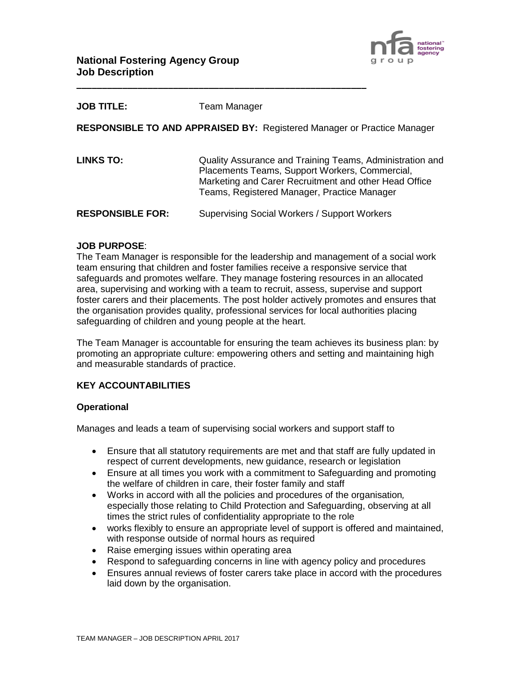

| <b>JOB TITLE:</b> | Team Manager |
|-------------------|--------------|
|-------------------|--------------|

**RESPONSIBLE TO AND APPRAISED BY:** Registered Manager or Practice Manager

**LINKS TO:** Quality Assurance and Training Teams, Administration and Placements Teams, Support Workers, Commercial, Marketing and Carer Recruitment and other Head Office Teams, Registered Manager, Practice Manager

**RESPONSIBLE FOR:** Supervising Social Workers / Support Workers

**\_\_\_\_\_\_\_\_\_\_\_\_\_\_\_\_\_\_\_\_\_\_\_\_\_\_\_\_\_\_\_\_\_\_\_\_\_\_\_\_\_\_\_\_\_\_\_\_\_\_\_\_\_\_\_\_\_**

### **JOB PURPOSE**:

The Team Manager is responsible for the leadership and management of a social work team ensuring that children and foster families receive a responsive service that safeguards and promotes welfare. They manage fostering resources in an allocated area, supervising and working with a team to recruit, assess, supervise and support foster carers and their placements. The post holder actively promotes and ensures that the organisation provides quality, professional services for local authorities placing safeguarding of children and young people at the heart.

The Team Manager is accountable for ensuring the team achieves its business plan: by promoting an appropriate culture: empowering others and setting and maintaining high and measurable standards of practice.

### **KEY ACCOUNTABILITIES**

### **Operational**

Manages and leads a team of supervising social workers and support staff to

- Ensure that all statutory requirements are met and that staff are fully updated in respect of current developments, new guidance, research or legislation
- Ensure at all times you work with a commitment to Safeguarding and promoting the welfare of children in care, their foster family and staff
- Works in accord with all the policies and procedures of the organisation*,*  especially those relating to Child Protection and Safeguarding, observing at all times the strict rules of confidentiality appropriate to the role
- works flexibly to ensure an appropriate level of support is offered and maintained, with response outside of normal hours as required
- Raise emerging issues within operating area
- Respond to safeguarding concerns in line with agency policy and procedures
- Ensures annual reviews of foster carers take place in accord with the procedures laid down by the organisation.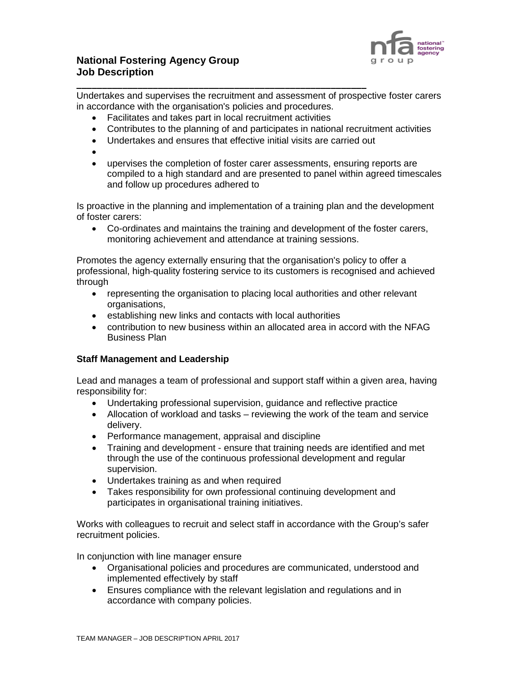

## **National Fostering Agency Group Job Description**

**\_\_\_\_\_\_\_\_\_\_\_\_\_\_\_\_\_\_\_\_\_\_\_\_\_\_\_\_\_\_\_\_\_\_\_\_\_\_\_\_\_\_\_\_\_\_\_\_\_\_\_\_\_\_\_\_\_** Undertakes and supervises the recruitment and assessment of prospective foster carers in accordance with the organisation's policies and procedures.

- Facilitates and takes part in local recruitment activities
- Contributes to the planning of and participates in national recruitment activities
- Undertakes and ensures that effective initial visits are carried out
- •
- upervises the completion of foster carer assessments, ensuring reports are compiled to a high standard and are presented to panel within agreed timescales and follow up procedures adhered to

Is proactive in the planning and implementation of a training plan and the development of foster carers:

• Co-ordinates and maintains the training and development of the foster carers, monitoring achievement and attendance at training sessions.

Promotes the agency externally ensuring that the organisation's policy to offer a professional, high-quality fostering service to its customers is recognised and achieved through

- representing the organisation to placing local authorities and other relevant organisations,
- establishing new links and contacts with local authorities
- contribution to new business within an allocated area in accord with the NFAG Business Plan

### **Staff Management and Leadership**

Lead and manages a team of professional and support staff within a given area, having responsibility for:

- Undertaking professional supervision, guidance and reflective practice
- Allocation of workload and tasks reviewing the work of the team and service delivery.
- Performance management, appraisal and discipline
- Training and development ensure that training needs are identified and met through the use of the continuous professional development and regular supervision.
- Undertakes training as and when required
- Takes responsibility for own professional continuing development and participates in organisational training initiatives.

Works with colleagues to recruit and select staff in accordance with the Group's safer recruitment policies.

In conjunction with line manager ensure

- Organisational policies and procedures are communicated, understood and implemented effectively by staff
- Ensures compliance with the relevant legislation and regulations and in accordance with company policies.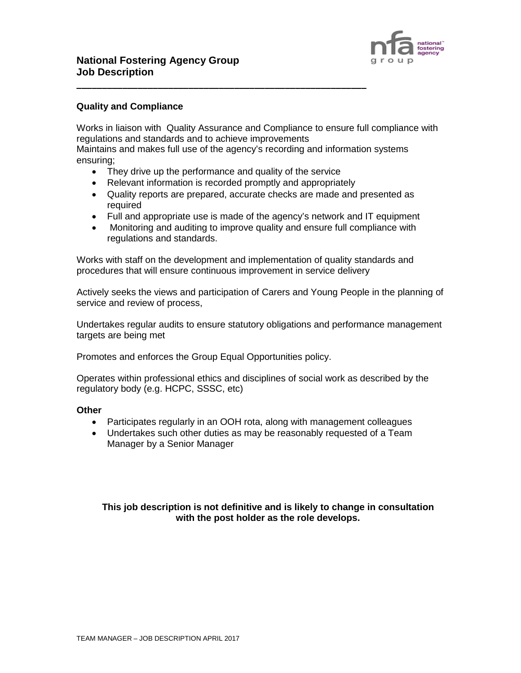

#### **Quality and Compliance**

Works in liaison with Quality Assurance and Compliance to ensure full compliance with regulations and standards and to achieve improvements

Maintains and makes full use of the agency's recording and information systems ensuring;

• They drive up the performance and quality of the service

**\_\_\_\_\_\_\_\_\_\_\_\_\_\_\_\_\_\_\_\_\_\_\_\_\_\_\_\_\_\_\_\_\_\_\_\_\_\_\_\_\_\_\_\_\_\_\_\_\_\_\_\_\_\_\_\_\_**

- Relevant information is recorded promptly and appropriately
- Quality reports are prepared, accurate checks are made and presented as required
- Full and appropriate use is made of the agency's network and IT equipment
- Monitoring and auditing to improve quality and ensure full compliance with regulations and standards.

Works with staff on the development and implementation of quality standards and procedures that will ensure continuous improvement in service delivery

Actively seeks the views and participation of Carers and Young People in the planning of service and review of process,

Undertakes regular audits to ensure statutory obligations and performance management targets are being met

Promotes and enforces the Group Equal Opportunities policy.

Operates within professional ethics and disciplines of social work as described by the regulatory body (e.g. HCPC, SSSC, etc)

#### **Other**

- Participates regularly in an OOH rota, along with management colleagues
- Undertakes such other duties as may be reasonably requested of a Team Manager by a Senior Manager

**This job description is not definitive and is likely to change in consultation with the post holder as the role develops.**